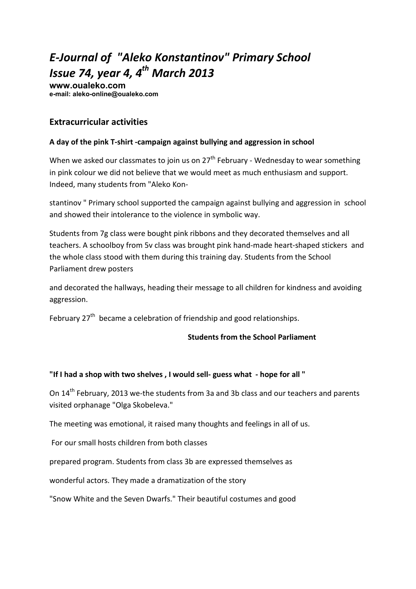# *E-Journal of "Aleko Konstantinov" Primary School Issue 74, year 4, 4th March 2013*

**www.oualeko.com е-mail: aleko-online@oualeko.com** 

## **Extracurricular activities**

### **A day of the pink T-shirt -campaign against bullying and aggression in school**

When we asked our classmates to join us on  $27<sup>th</sup>$  February - Wednesday to wear something in pink colour we did not believe that we would meet as much enthusiasm and support. Indeed, many students from "Aleko Kon-

stantinov " Primary school supported the campaign against bullying and aggression in school and showed their intolerance to the violence in symbolic way.

Students from 7g class were bought pink ribbons and they decorated themselves and all teachers. A schoolboy from 5v class was brought pink hand-made heart-shaped stickers and the whole class stood with them during this training day. Students from the School Parliament drew posters

and decorated the hallways, heading their message to all children for kindness and avoiding aggression.

February  $27<sup>th</sup>$  became a celebration of friendship and good relationships.

### **Students from the School Parliament**

### **"If I had a shop with two shelves , I would sell- guess what - hope for all "**

On 14<sup>th</sup> February, 2013 we-the students from 3a and 3b class and our teachers and parents visited orphanage "Olga Skobeleva."

The meeting was emotional, it raised many thoughts and feelings in all of us.

For our small hosts children from both classes

prepared program. Students from class 3b are expressed themselves as

wonderful actors. They made a dramatization of the story

"Snow White and the Seven Dwarfs." Their beautiful costumes and good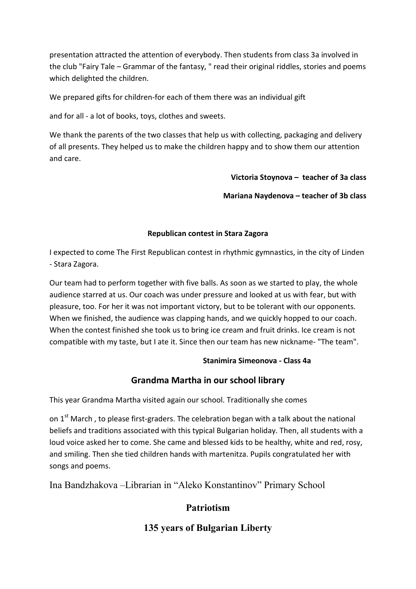presentation attracted the attention of everybody. Then students from class 3a involved in the club "Fairy Tale – Grammar of the fantasy, " read their original riddles, stories and poems which delighted the children.

We prepared gifts for children-for each of them there was an individual gift

and for all - a lot of books, toys, clothes and sweets.

We thank the parents of the two classes that help us with collecting, packaging and delivery of all presents. They helped us to make the children happy and to show them our attention and care.

**Victoria Stoynova – teacher of 3a class** 

**Mariana Naydenova – teacher of 3b class** 

### **Republican contest in Stara Zagora**

I expected to come The First Republican contest in rhythmic gymnastics, in the city of Linden - Stara Zagora.

Our team had to perform together with five balls. As soon as we started to play, the whole audience starred at us. Our coach was under pressure and looked at us with fear, but with pleasure, too. For her it was not important victory, but to be tolerant with our opponents. When we finished, the audience was clapping hands, and we quickly hopped to our coach. When the contest finished she took us to bring ice cream and fruit drinks. Ice cream is not compatible with my taste, but I ate it. Since then our team has new nickname- "The team".

## **Stanimira Simeonova - Class 4a**

# **Grandma Martha in our school library**

This year Grandma Martha visited again our school. Traditionally she comes

on 1<sup>st</sup> March, to please first-graders. The celebration began with a talk about the national beliefs and traditions associated with this typical Bulgarian holiday. Then, all students with a loud voice asked her to come. She came and blessed kids to be healthy, white and red, rosy, and smiling. Then she tied children hands with martenitza. Pupils congratulated her with songs and poems.

Ina Bandzhakova –Librarian in "Aleko Konstantinov" Primary School

# **Patriotism**

# **135 years of Bulgarian Liberty**